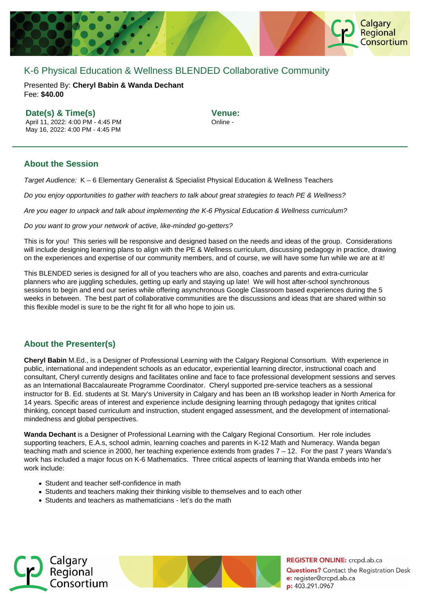

# K-6 Physical Education & Wellness BLENDED Collaborative Community

Presented By: **Cheryl Babin & Wanda Dechant** Fee: **\$40.00** 

### **Date(s) & Time(s)**

April 11, 2022: 4:00 PM - 4:45 PM May 16, 2022: 4:00 PM - 4:45 PM

**Venue:** Online -

## **About the Session**

Target Audience: K – 6 Elementary Generalist & Specialist Physical Education & Wellness Teachers

Do you enjoy opportunities to gather with teachers to talk about great strategies to teach PE & Wellness?

Are you eager to unpack and talk about implementing the K-6 Physical Education & Wellness curriculum?

Do you want to grow your network of active, like-minded go-getters?

This is for you! This series will be responsive and designed based on the needs and ideas of the group. Considerations will include designing learning plans to align with the PE & Wellness curriculum, discussing pedagogy in practice, drawing on the experiences and expertise of our community members, and of course, we will have some fun while we are at it!

This BLENDED series is designed for all of you teachers who are also, coaches and parents and extra-curricular planners who are juggling schedules, getting up early and staying up late! We will host after-school synchronous sessions to begin and end our series while offering asynchronous Google Classroom based experiences during the 5 weeks in between. The best part of collaborative communities are the discussions and ideas that are shared within so this flexible model is sure to be the right fit for all who hope to join us.

# **About the Presenter(s)**

**Cheryl Babin** M.Ed., is a Designer of Professional Learning with the Calgary Regional Consortium. With experience in public, international and independent schools as an educator, experiential learning director, instructional coach and consultant, Cheryl currently designs and facilitates online and face to face professional development sessions and serves as an International Baccalaureate Programme Coordinator. Cheryl supported pre-service teachers as a sessional instructor for B. Ed. students at St. Mary's University in Calgary and has been an IB workshop leader in North America for 14 years. Specific areas of interest and experience include designing learning through pedagogy that ignites critical thinking, concept based curriculum and instruction, student engaged assessment, and the development of internationalmindedness and global perspectives.

**Wanda Dechant** is a Designer of Professional Learning with the Calgary Regional Consortium. Her role includes supporting teachers, E.A.s, school admin, learning coaches and parents in K-12 Math and Numeracy. Wanda began teaching math and science in 2000, her teaching experience extends from grades 7 – 12. For the past 7 years Wanda's work has included a major focus on K-6 Mathematics. Three critical aspects of learning that Wanda embeds into her work include:

- Student and teacher self-confidence in math
- Students and teachers making their thinking visible to themselves and to each other
- Students and teachers as mathematicians let's do the math





**REGISTER ONLINE:** crcpd.ab.ca **Questions?** Contact the Registration Desk e: register@crcpd.ab.ca p: 403.291.0967